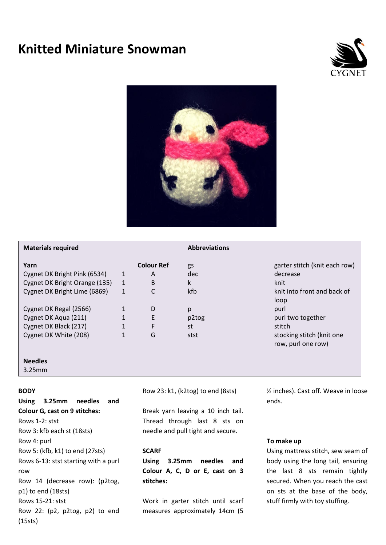# **Knitted Miniature Snowman**





# **Materials required Abbreviations**

# **Yarn Colour Ref** gs garter stitch (knit each row) Cygnet DK Bright Pink (6534) 1 A dec decrease Cygnet DK Bright Orange (135) 1 B k knit Cygnet DK Bright Lime (6869) 1 C kfb knit into front and back of loop Cygnet DK Regal (2566) 1 D p purl Cygnet DK Aqua (211) 1 E p2tog purl two together Cygnet DK Black (217) 1 F st stitch stocking stitch (knit one row, purl one row) Cygnet DK White (208) 1 G stst

#### **Needles**

3.25mm

# **BODY**

**Using 3.25mm needles and Colour G, cast on 9 stitches:** Rows 1-2: stst Row 3: kfb each st (18sts) Row 4: purl Row 5: (kfb, k1) to end (27sts) Rows 6-13: stst starting with a purl row Row 14 (decrease row): (p2tog, p1) to end (18sts) Rows 15-21: stst Row 22: (p2, p2tog, p2) to end (15sts)

Row 23: k1, (k2tog) to end (8sts)

Break yarn leaving a 10 inch tail. Thread through last 8 sts on needle and pull tight and secure.

# **SCARF**

**Using 3.25mm needles and Colour A, C, D or E, cast on 3 stitches:**

Work in garter stitch until scarf measures approximately 14cm (5

½ inches). Cast off. Weave in loose ends.

#### **To make up**

Using mattress stitch, sew seam of body using the long tail, ensuring the last 8 sts remain tightly secured. When you reach the cast on sts at the base of the body, stuff firmly with toy stuffing.